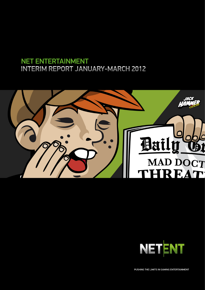# NET ENTERTAINMENT INTERIM REPORT JANUARY-MARCH 2012





PUSHING THE LIMITS IN GAMING ENTERTAINMENT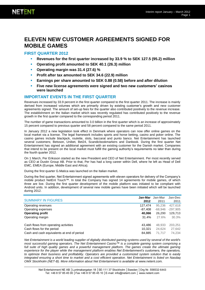# **ELEVEN NEW CUSTOMER AGREEMENTS SIGNED FOR MOBILE GAMES**

### **FIRST QUARTER 2012**

- **Revenues for the first quarter increased by 33.9 % to SEK 127.5 (95.2) million**
- **Operating profit amounted to SEK 40.1 (26.3) million**
- **Operating margin was 31.4 (27.6) %**
- **Profit after tax amounted to SEK 34.6 (22.9) million**
- **Earnings per share amounted to SEK 0.88 (0.58) before and after dilution**
- **Five new license agreements were signed and two new customers' casinos were launched**

### **IMPORTANT EVENTS IN THE FIRST QUARTER**

Revenues increased by 33.9 percent in the first quarter compared to the first quarter 2011. The increase is mainly derived from increased volumes which are primarily driven by existing customer's growth and new customer agreements signed. The amount of set-up fees for the quarter also contributed positively to the revenue increase. The establishment on the Italian market which was recently regulated has contributed positively to the revenue growth in the first quarter compared to the corresponding period 2011.

The number of game transactions amounted to 3.0 billion in the first quarter which is an increase of approximately 15 percent compared to previous quarter and 58 percent compared to the same period 2011.

In January 2012 a new legislation took effect in Denmark where operators can now offer online games on the local market via a license. The legal framework includes sports and horse betting, casino and poker online. The casino games include blackjack, roulette, slots, baccarat and punto banco. Net Entertainment has launched several customers; Betsson, Unibet, Bet24, Scandicbookmarkers and Danbook. During the first quarter Net Entertainment has signed an additional agreement with an existing customer for the Danish market. Companies that intend to be present on the local market must fulfill the gaming authority's requirements no later than during the fourth quarter 2012.

On 1 March, Per Eriksson started as the new President and CEO of Net Entertainment. Per most recently served as CEO at Dustin Group AB. Prior to that, Per has had a long career within Dell, where he left as Head of Dell EMC, EMEA (Europe, Middle East and Africa).

During the first quarter G.Matica was launched on the Italian market.

During the first quarter, Net Entertainment signed agreements with eleven operators for delivery of the Company's mobile product NetEnt Touch™. In total the Company has signed 14 agreements for mobile games, of which three are live. During the first quarter development of the mobile platform was initiated to be compliant with Android units. In addition, development of several new mobile games have been initiated which will be launched during 2012.

| <b>SUMMARY IN FIGURES</b>                  | Jan-Mar<br>2012 | Jan-Mar<br>2011 | Jan-Dec<br>2011 |
|--------------------------------------------|-----------------|-----------------|-----------------|
| Operating revenues                         | 127.474         | 95.236          | 427.618         |
| Operating expenses                         | $-87.408$       | -68.946         | $-297.905$      |
| <b>Operating profit</b>                    | 40.066          | 26,290          | 129.713         |
| Operating margin                           | 31.4%           | 27.6%           | 30.3%           |
| Cash flows from operating activities       | 43.486          | 48.933          | 203,251         |
| Cash flows for the period                  | 10.321          | 24.624          | 27.642          |
| Cash and cash equivalents at end of period | 84.885          | 71.717          | 74.234          |

*Net Entertainment is a world leading supplier of digitally distributed gaming systems used by several of the world's most successful gaming operators. The Net Entertainment Casino™ is a complete gaming system comprising a*  full suite of high quality games and a powerful management platform. The games create the ultimate gaming *experience for the player while the management platform enables Net Entertainment's customers, the operators, to optimize their business and profitability. Operators are provided a customized system solution that is easily integrated ensuring a short time to market and a cost efficient operation. Net Entertainment is listed on Nasdaq OMX Stockholm (NET-B). More information about Net Entertainment is available at [www.netent.com](http://www.netent.com/).*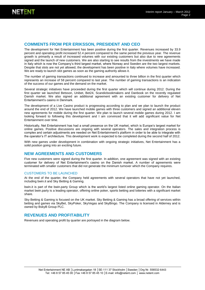### **COMMENTS FROM PER ERIKSSON, PRESIDENT AND CEO**

The development for Net Entertainment has been positive during the first quarter. Revenues increased by 33.9 percent and operating profit increased 52.4 percent compared to the same period the previous year. The revenue growth is primarily a result of increased volumes with our existing customers but also due to new agreements signed and the launch of new customers. We are also starting to see results from the investments we have made in Italy which is now the Company's third largest market, where Norway and Sweden are the two largest markets. Despite that slots are not yet allowed, the development has been positive in Italy where volumes have increased. We are ready to launch slot games as soon as the gaming authority allows it.

The number of gaming transactions continued to increase and amounted to three billion in the first quarter which represents an increase of 58 percent compared to last year. The number of gaming transactions is an indication of the success of our games and the demand on the market.

Several strategic initiatives have proceeded during the first quarter which will continue during 2012. During the first quarter we launched Betsson, Unibet, Bet24, Scandicbookmakers and Danbook on the recently regulated Danish market. We also signed an additional agreement with an existing customer for delivery of Net Entertainment's casino in Denmark.

The development of a Live Casino product is progressing according to plan and we plan to launch the product around the end of 2012. We have launched mobile games with three customers and signed an additional eleven new agreements for mobile during the first quarter. We plan to launch several mobile games during 2012. I am looking forward to following this development and I am convinced that it will add significant value for Net Entertainment over time.

Historically, Net Entertainment has had a small presence on the UK market, which is Europe's largest market for online games. Positive discussions are ongoing with several operators. The sales and integration process is complex and certain adjustments are needed on Net Entertainment's platform in order to be able to integrate with the operator's IT architecture. This development work is expected to be completed during the second half of 2012.

With new games under development in combination with ongoing strategic initiatives, Net Entertainment has a solid position going into an exciting future.

### **NEW AGREEMENTS AND CUSTOMERS**

Five new customers were signed during the first quarter. In addition, one agreement was signed with an existing customer for delivery of Net Entertainment's casino on the Danish market. A number of agreements were terminated with smaller customers that did not generate the minimum turnover which the Company requires.

#### CUSTOMERS TO BE LAUNCHED

At the end of the quarter, the Company held agreements with several operators that have not yet launched, including bwin.it and Sky Betting & Gaming.

bwin.it is part of the bwin.party Group which is the world's largest listed online gaming operator. On the Italian market bwin.party is a leading operator, offering online poker, sports betting and lotteries with a significant market share.

Sky Betting & Gaming is focused on the UK market. Sky Betting & Gaming has a broad offering of services within betting and games via SkyBet, SkyPoker, SkyVegas and SkyBingo. The Company is licensed in Alderney and is owned by BskyB Group PLC.

### **REVENUES AND PROFITABILITY**

Revenues and operating profit by quarter are portrayed in the diagram below.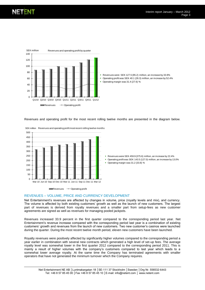

Revenues and operating profit for the most recent rolling twelve months are presented in the diagram below.



SEK million Revenues and operating profit most recent rolling twelve months



#### REVENUES – VOLUME, PRICE AND CURRENCY DEVELOPMENT

Net Entertainment's revenues are affected by changes in volume, price (royalty levels and mix), and currency. The volume is affected by both existing customers' growth as well as the launch of new customers. The largest part of revenues is derived from royalty revenues and a smaller part from setup-fees as new customer agreements are signed as well as revenues for managing pooled jackpots.

Revenues increased 33.9 percent in the first quarter compared to the corresponding period last year. Net Entertainment's revenue increase compared with the corresponding period last year is a combination of existing customers' growth and revenues from the launch of new customers. Two new customer's casinos were launched during the quarter. During the most recent twelve month period, eleven new customers have been launched.

Royalty revenues were positively affected by significantly higher volumes compared to the corresponding period a year earlier in combination with several new contracts which generated a high level of set-up fees. The average royalty level was somewhat lower in the first quarter 2012 compared to the corresponding period 2011. This is mainly a result of higher volumes with the company's customers compared to last year which leads to a somewhat lower average royalty. At the same time the Company has terminated agreements with smaller operators that have not generated the minimum turnover which the Company requires.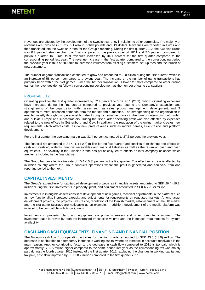Revenues are affected by the development of the Swedish currency in relation to other currencies. The majority of revenues are invoiced in Euros, but also in British pounds and US dollars. Revenues are reported in Euros and then translated into the Swedish Krona for the Group's reporting. During the first quarter 2012, the Swedish Krona was 0.2 percent stronger than the Euro compared to the previous period 2011 and 2.6 percent compared to previous quarter. In Euros, total revenues increased by 34.1 percent for the first quarter compared to the corresponding period last year. The revenue increase in the first quarter compared to the corresponding period the previous year is thus attributable to increased volumes from existing customers, set-up fees and the launch of new customers.

The number of game transactions continued to grow and amounted to 3.0 billion during the first quarter, which is an increase of 58 percent compared to previous year. The increase of the number of game transactions has primarily been within the slot games. Since the bet per transaction is lower for slots compared to other casino games the revenues do not follow a corresponding development as the number of game transactions.

#### **PROFITABILITY**

Operating profit for the first quarter increased by 52.4 percent to SEK 40.1 (26.3) million. Operating expenses have increased during the first quarter compared to previous year due to the Company's expansion and strengthening of the organization within areas such as sales, product management, development, and IT operations to meet increased demands from the market and authorities. The strengthening of the organization is enabled mostly through own personnel but also through external recourses in the form of outsourcing both within and outside Europe and subcontractors. During the first quarter operating profit was also affected by expenses related to the new offices in Gothenburg and Kiev. In addition, the regulation of the online market creates new requirements which affect costs, as do new product areas such as mobile games, Live Casino and platform development.

For the first quarter the operating margin was 31.4 percent compared to 27.6 percent the previous year.

The financial net amounted to SEK -1.4 (-0.8) million for the first quarter and consists of exchange rate effects on cash and cash equivalents, financial receivables and financial liabilities as well as the return on cash and cash equivalents. The volatility in the Swedish Krona has periodically led to effects on inter-company balances which are items included in the financial net.

The Group had an effective tax rate of 10.4 (10.3) percent in the first quarter. The effective tax rate is affected by in which country where the Group conducts operations where the profit is generated and can vary from one reporting period to the next.

### **CAPITAL INVESTMENTS**

The Group's expenditure for capitalized development projects as intangible assets amounted to SEK 26.4 (19.2) million during the first. Investments in property, plant, and equipment amounted to SEK 6.7 (5.2) million.

Investments in intangible assets consist of development of new games, technical adjustments in the platform such as new functionality, increased capacity and adjustments for requirements on regulated markets. Among larger development projects, the projects Live Casino, regulation of the Danish market, establishment on the UK market and the slot game Scarface are noticeable as an example. In addition, development of the mobile platform was initiated to be compatible with Android units.

Investments in property, plant, and equipment are primarily servers and other computer equipment. The investment pace is driven by both the increased transaction volume and the increased requirements for system availability.

#### **CASH AND CASH EQUIVALENTS, FINANCING AND FINANCIAL POSITION**

The Group's cash flow from operating activities for the first quarter amounted to SEK 43.5 (48.9) million. The decrease is attributable to a temporary increase in working capital where an increase in accounts receivable is the main reason. Another contributing factor to the decrease in cash flow compared to 2011 is tax paid which is approximately SEK 5 million higher compared to the same period last year as the corresponding tax was mainly paid during the fourth quarter 2010 instead of the first quarter 2011. excluding the changes in working capital and tax paid, cash flow improved by SEK 20.7 million compared to the first quarter 2011.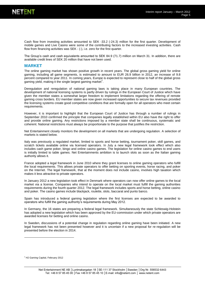Cash flow from investing activities amounted to SEK -33.2 (-24.3) million for the first quarter. Development of mobile games and Live Casino were some of the contributing factors to the increased investing activities. Cash flow from financing activities was SEK - (-), i.e. zero for the first quarter.

The Group's cash and cash equivalents amounted to SEK 84.9 (71.7) million on March 31. In addition, there are available credit lines of SEK 20 million that have not been used.

#### **MARKET**

The online gaming market has shown positive growth in recent years. The global gross gaming yield for online gaming, including all game segments, is estimated to amount to EUR 26.9 billion in 2012, an increase of 9.8 percent compared to year 2011. In coming years, Europe is expected to represent close to half of the global gross gaming yield, making it the single largest gaming market<sup>1</sup>.

Deregulation and reregulation of national gaming laws is taking place in many European countries. The development of national licensing systems is partly driven by rulings in the European Court of Justice which have given the member states a somewhat larger freedom to implement limitations regarding the offering of remote gaming cross borders. EU member states are now given increased opportunities to secure tax revenues provided the licensing systems create good competitive conditions that are formally open for all operators who meet certain requirements.

However, it is important to highlight that the European Court of Justice has through a number of rulings in September 2010 confirmed the principle that companies legally established within EU also have the right to offer and provide online gaming. Any restrictions imposed by a member state shall be continuous, systematic and coherent. National restrictions must always be proportionate to the purpose that justifies the restriction.

Net Entertainment closely monitors the development on all markets that are undergoing regulation. A selection of markets is stated below.

Italy was previously a regulated market, limited to sports and horse betting, tournament poker, skill games, and scratch tickets available online via licensed operators. In July a new legal framework took effect which also includes cash game poker, bingo and online casino games. The legislation for online casino games to end users is initially limited to table games. Net Entertainments ambition is to launch slots as soon as the Italian gaming authority allows it.

France adopted a legal framework in June 2010 where they grant licenses to online gaming operators who fulfill the local requirements. This allows private operators to offer betting on sporting events, horse racing, and poker on the Internet. The legal framework, that at the moment does not include casino, involves high taxation which makes it less attractive to private operators.

In January 2012 a new legislation took effect in Denmark where operators can now offer online games to the local market via a license. Companies who intend to operate on the local market must fulfill the gaming authorities requirements during the fourth quarter 2012. The legal framework includes sports and horse betting, online casino and poker. The casino games include blackjack, roulette, slots, baccarat and punto banco.

Spain has introduced a federal gaming legislation where the first licenses are expected to be awarded to operators who fulfill the gaming authority's requirements during May 2012.

In Germany, the 16 states are preparing a federal legal framework. Simultaneously the state Schleswig-Holstein has adopted a new legislation which has been approved by the EU-commission under which private operators are awarded licenses for betting and online casino.

In Sweden, discussions of a potential change in regulation regarding online gaming have been initiated. A new legal framework has not been presented however and it is uncertain if a new proposal for re-regulation will be presented before the election in 2014.

l

<sup>1</sup> H2 Gaming Capital, February 2012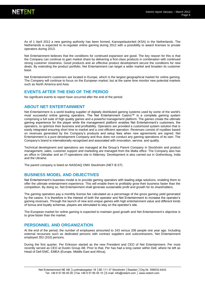

As of 1 April 2012 a new gaming authority has been formed, Kansspelautoriteit (KSA) in the Netherlands. The Netherlands is expected to re-regulate online gaming during 2012 with a possibility to award licenses to private operators during 2013.

Net Entertainment believes that the conditions for continued expansion are good. The key reason for this is that the Company can continue to gain market share by delivering a first-class products in combination with continued strong customer closeness. Good products and an effective product development secure the conditions for new deals. By extending the product portfolio, Net Entertainment can target a wider market and broaden its customer base.

Net Entertainment's customers are located in Europe, which is the largest geographical market for online gaming. The Company will continue to focus on the European market, but at the same time monitor new potential markets such as North America and Asia.

### **EVENTS AFTER THE END OF THE PERIOD**

No significant events to report have occurred after the end of the period.

### **ABOUT NET ENTERTAINMENT**

Net Entertainment is a world leading supplier of digitally distributed gaming systems used by some of the world's most successful online gaming operators. The Net Entertainment Casino™ is a complete gaming system comprising a full suite of high quality games and a powerful management platform. The games create the ultimate gaming experience for the player while the management platform enables Net Entertainment's customers, the operators, to optimize their business and profitability. Operators are provided a customized system solution that is easily integrated ensuring short time to market and a cost efficient operation. Revenues consist of royalties based on revenues generated by the Company's products and setup fees when new agreements are signed. Net Entertainment is a pure development Company and thus does not conduct any gaming operations of its own. The Company's brand is internationally recognized and associated with innovation, service, and quality.

Technical development and operations are managed at the Group's Parent Company in Stockholm and product management, sales, customer support and marketing are managed from the Malta office. The Company also has an office in Gibraltar and an IT-operations site in Alderney. Development is also carried out in Gothenburg, India and the Ukraine.

The parent company is listed on NASDAQ OMX Stockholm (NET-B.ST)

### **BUSINESS MODEL AND OBJECTIVES**

Net Entertainment's business model is to provide gaming operators with leading edge solutions, enabling them to offer the ultimate entertainment experience. This will enable them to profitably grow their business faster than the competition. By doing so, Net Entertainment shall generate sustainable profit and growth for its shareholders.

The gaming operators pay a monthly license fee calculated as a percentage of the gross gaming yield generated by the casino. It is therefore in the interest of both the operator and Net Entertainment to increase the operator's gaming revenues. Through the launch of new and unique games with high entertainment value and different kinds of bonus and loyalty schemas, players are stimulated to stay on the operator's site.

The European market for online gaming is expected to maintain good growth and Net Entertainment's objective is to grow faster than the market.

### **PERSONNEL AND ORGANIZATION**

At the end of the period, the number of employees amounted to 243 versus 206 people one year ago. Including external recourses such as dedicated persons with contract suppliers and subcontractors, Net Entertainment employed 352 (310) persons.

During the first quarter, Per Eriksson started as the new President and CEO of Net Entertainment. Per most recently served as CEO at Dustin Group AB. Prior to that, Per has had a long career within Dell, where he left as Head of Dell EMC, EMEA (Europe, Middle East and Africa).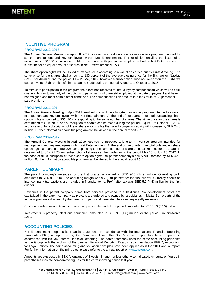### **INCENTIVE PROGRAM**

#### PROGRAM 2012-2015

The Annual General Meeting on April 18, 2012 resolved to introduce a long-term incentive program intended for senior management and key employees within Net Entertainment. The resolution entailed the issue of a maximum of 350,000 share option rights to personnel with permanent employment within Net Entertainment to subscribe for an equal amount of shares in Net Entertainment NE AB.

The share option rights will be issued at market value according to a valuation carried out by Ernst & Young. The strike price for the shares shall amount to 130 percent of the average closing price for the B-share on Nasdaq OMX Stockholm during the period 11 – 25 May 2012, however a subscription price not lower than the B-share's quotient value. Subscription of shares can be made during the period August 1 to October 1, 2015.

To stimulate participation in the program the board has resolved to offer a loyalty compensation which will be paid one month prior to maturity of the options to participants who are still employed at the date of payment and have not resigned and meet certain other conditions. The compensation can amount to a maximum of 50 percent of paid premium.

#### PROGRAM 2011-2014

The Annual General Meeting in April 2011 resolved to introduce a long-term incentive program intended for senior management and key employees within Net Entertainment. At the end of the quarter, the total outstanding share option rights amounted to 353,100 corresponding to the same number of shares. The strike price for the shares is determined to SEK 70.20 and subscription of shares can be made during the period August 1 to October 1, 2014. In the case of full subscription of these share option rights the parent company's equity will increase by SEK 24.8 million. Further information about this program can be viewed in the annual report 2011.

#### PROGRAM 2009-2012

The Annual General Meeting in April 2009 resolved to introduce a long-term incentive program intended for management and key employees within Net Entertainment. At the end of the quarter, the total outstanding share option rights amounted to 586,225 corresponding to the same number of shares. The strike price for the shares is determined to SEK 71.70 and subscription of shares can be made during the period May 15 to July 15, 2012. In the case of full subscription of these share option rights the parent company's equity will increase by SEK 42.0 million. Further information about this program can be viewed in the annual report 2011.

### **PARENT COMPANY**

The parent company's revenues for the first quarter amounted to SEK 90.3 (74.9) million. Operating profit amounted to SEK 8.3 (6.8). The operating margin was 9.2 (9.0) percent for the first quarter. Currency effects on inter-company transactions are included in financial items. Profit after tax was SEK 5.0 (4.4) million for the first quarter.

Revenues in the parent company come from services provided to subsidiaries. No development costs are capitalized in the parent company as projects are ordered and owned by subsidiaries in Malta. Some parts of the technologies are still owned by the parent company and generate inter-company royalty revenues.

Cash and cash equivalents in the parent company at the end of the period amounted to SEK 38.3 (39.5) million.

Investments in property, plant and equipment amounted to SEK 3.8 (1.8) million for the period January-March 2012.

### **ACCOUNTING POLICIES**

Net Entertainment prepares its financial statements in accordance with the International Financial Reporting Standards (IFRS) as approved by the European Union. The Goup's interim report has been prepared in accordance with IAS 34, Interim Financial Reporting. The parent company uses the same accounting principles as the Group, with the addition of the Swedish Financial Reporting Board's recommendation RFR 2, Accounting for Legal Entities. The same accounting and valuation principles have been applied as in the 2011 annual report. For further information on the principles, please refer to the annual report on [www.netent.com.](http://www.netent.com/)

Amounts are expressed in SEK (thousands of Swedish Kronor) unless otherwise indicated. Amounts or figures in parentheses indicate comparative figures for the corresponding period last year.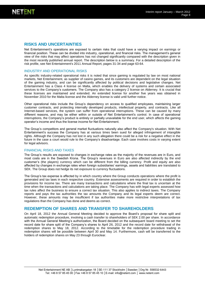

### **RISKS AND UNCERTAINTIES**

Net Entertainment's operations are exposed to certain risks that could have a varying impact on earnings or financial position. These can be divided into industry, operational, and financial risks. The management's general view of the risks that may affect operations has not changed significantly compared with the description given in the most recently published annual report. The description below is a summary. For a detailed description of the risk profile, see Net Entertainment's 2011 Annual Report, pages 31-34 and page 63-64.

#### INDUSTRY AND OPERATIONAL RISKS

As specific industry-related operational risks it is noted that since gaming is regulated by law on most national markets, Net Entertainment, as supplier of casino games, and its customers are dependent on the legal situation of the gaming industry, and can be significantly affected by political decisions and legislative changes. Net Entertainment has a Class 4 license on Malta, which enables the delivery of systems and certain associated services to the Company's customers. The Company also has a category 2 license on Alderney. It is crucial that these licenses are maintained and extended. An extended license for another five years was obtained in November 2010 for the Malta license and the Alderney license is valid until further notice.

Other operational risks include the Group's dependency on access to qualified employees, maintaining larger customer contracts, and protecting internally developed products, intellectual property, and contracts. Like all Internet-based services, the system can suffer from operational interruptions. These can be caused by many different reasons, and may be either within or outside of Net Entertainment's control. In case of operational interruptions, the Company's product is entirely or partially unavailable for the end user, which affects the gaming operator's income and thus the license income for Net Entertainment.

The Group's competitors and general market fluctuations naturally also affect the Company's situation. With Net Entertainment's success the Company has at various times been sued for alleged infringement of intangible rights. Although the Company has not lost in any such allegation there could be a risk for a negative effect in the future in the case a court would rule to the Company's disadvantage. Each case involves costs in varying extent for legal advisors.

#### FINANCIAL RISKS AND TAXES

The Group's results are exposed to changes in exchange rates as the majority of the revenues are in Euro, and most costs are in the Swedish Krona. The Group's revenues in Euro are also affected indirectly by the end customer's (the players) currency which can be different from the billing currency. Profit and equity are also affected by changes in exchange rates when foreign subsidiaries' earnings, assets and liabilities are translated to SEK. The Group does not hedge its net exposure to currency fluctuations.

The Group's tax expense is affected by in which country where the Group conducts operations where the profit is generated and tax laws in each respective country. Extensive assessments are required in order to establish the provisions for income tax. There are many transactions and calculations where the final tax is uncertain at the time when the transactions and calculations are taking place. The Company has with legal experts assessed how tax rules affect the business to ensure a correct tax situation. This also applies to indirect taxes. The Company reports and pays the tax authorities the tax amounts the Company and its legal experts deem are correct. However, these amounts may be insufficient if tax authorities make more restrictive interpretations of tax regulations than the Company has done and deems as correct.

#### **REDEMPTION OF SHARES AND TRANSFER TO SHAREHOLDERS**

On April 18, 2012 the Annual General Meeting decided to approve the Board's proposal for share split and automatic redemption procedure, involving a cash transfer to shareholders of SEK 2.00 per share. In accordance with the Annual General Meeting's authorization, the Board decided on the subsequent board meeting to set the record date for share split of the Company's shares to April 26, 2012 and the record date for withdrawal of the redemption shares to May 18, 2012. According to the timetable for the redemption procedure trading in redemption shares will be possible between April 30 and May 14. Furthermore, cash will be transferred to the holders of redemption shares on May 23 through Euroclear.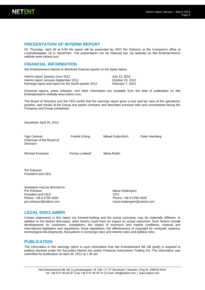

### **PRESENTATION OF INTERIM REPORT**

On Thursday, April 26 at 9.00 the report will be presented by CEO Per Eriksson at the Company's office at Luntmakargatan 18 in Stockholm. The presentation can be followed live via webcast on Net Entertainment's websit[e www.netent.com.](http://www.netent.com/)

### **FINANCIAL INFORMATION**

Net Entertainment intends to distribute financial reports on the dates below.

Interim report January-June 2012<br>
Interim report January-September 2012<br>
Cotober 25, 2012 Interim report January-September 2012 Earnings report and report for the fourth quarter 2012 February 7, 2013

Financial reports, press releases, and other information are available from the date of publication on Net Entertainment's websit[e www.netent.com.](http://www.netent.com/) 

The Board of Directors and the CEO certify that the earnings report gives a true and fair view of the operations, position, and results of the Group and parent company and describes principal risks and uncertainties facing the Company and Group companies.

Stockholm April 25, 2012

| Vigo Carlund<br>Chairman of the Board of<br><b>Directors</b>                                                            | <b>Fredrik Erbing</b> | Mikael Gottschlich                                                             | Peter Hamberg |
|-------------------------------------------------------------------------------------------------------------------------|-----------------------|--------------------------------------------------------------------------------|---------------|
| Michael Knutsson                                                                                                        | Pontus Lindwall       | Maria Redin                                                                    |               |
| Per Eriksson<br>President and CEO                                                                                       |                       |                                                                                |               |
| Questions may be directed to:<br>Per Eriksson<br>President and CEO<br>Phone: +46 8 5785 4500<br>per.eriksson@netent.com |                       | Maria Hedengren<br>CFO<br>Phone: +46 8 5785 4500<br>maria.hedengren@netent.com |               |

#### **LEGAL DISCLAIMER**

Certain statements in this report are forward-looking and the actual outcomes may be materially different. In addition to the factors discussed, other factors could have an impact on actual outcomes. Such factors include developments for customers, competitors, the impact of economic and market conditions, national and international legislation and regulations, fiscal regulations, the effectiveness of copyright for computer systems, technological developments, fluctuations in exchange rates and interest rates and political risks.

#### **PUBLICATION**

The information in this earnings report is such information that Net Entertainment NE AB (publ) is required to publicly disclose under the Securities Market Act and/or Financial Instruments Trading Act. The information was submitted for publication on April 26, 2012 at 7.30 am.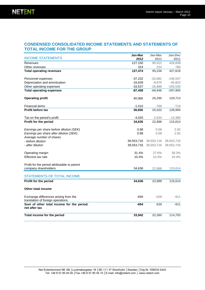### **CONDENSED CONSOLIDATED INCOME STATEMENTS AND STATEMENTS OF TOTAL INCOME FOR THE GROUP**

| <b>INCOME STATEMENTS</b>                                                   | Jan-Mar<br>2012 | Jan-Mar<br>2011 | Jan-Dec<br>2011 |
|----------------------------------------------------------------------------|-----------------|-----------------|-----------------|
| Revenues                                                                   | 127,150         | 95,012          | 426,838         |
| Other revenues                                                             | 324             | 224             | 780             |
| <b>Total operating revenues</b>                                            | 127,474         | 95,236          | 427,618         |
| Personnel expenses                                                         | $-37,232$       | $-33,082$       | $-146,547$      |
| Depreciation and amortization                                              | $-16,639$       | $-8,975$        | $-45,823$       |
| Other operating expenses                                                   | $-33,537$       | $-26,889$       | $-105,535$      |
| <b>Total operating expenses</b>                                            | $-87,408$       | $-68,946$       | $-297,905$      |
| <b>Operating profit</b>                                                    | 40,066          | 26,290          | 129,713         |
| <b>Financial items</b>                                                     | $-1,410$        | $-768$          | $-719$          |
| Profit before tax                                                          | 38,656          | 25,522          | 128,994         |
| Tax on the period's profit                                                 | $-4,020$        | $-2,634$        | $-13,380$       |
| Profit for the period                                                      | 34,636          | 22,888          | 115,614         |
| Earnings per share before dilution (SEK)                                   | 0.88            | 0.58            | 2.92            |
| Earnings per share after dilution (SEK)                                    | 0.88            | 0.58            | 2.92            |
| Average number of shares                                                   |                 |                 |                 |
| - before dilution                                                          | 39,553,716      | 39,553,716      | 39,553,716      |
| - after dilution                                                           | 39,553,716      | 39,553,716      | 39,553,716      |
| Operating margin                                                           | 31.4%           | 27.6%           | 30.3%           |
| Effective tax rate                                                         | 10.4%           | 10.3%           | 10.4%           |
| Profit for the period attributable to parent                               |                 |                 |                 |
| company shareholders                                                       | 34,636          | 22,888          | 115,614         |
| <b>STATEMENTS OF TOTAL INCOME</b>                                          |                 |                 |                 |
| Profit for the period                                                      | 34,636          | 22,888          | 115,614         |
| Other total income                                                         |                 |                 |                 |
| Exchange differences arising from the<br>translation of foreign operations | -694            | $-528$          | $-911$          |
| Sum of other total income for the period.<br>net after tax                 | -694            | $-528$          | $-911$          |
| Total income for the period                                                | 33,942          | 22,360          | 114,703         |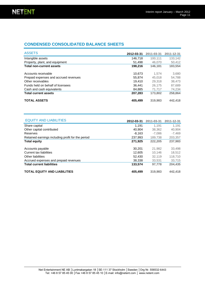### **CONDENSED CONSOLIDATED BALANCE SHEETS**

| <b>ASSETS</b>                         | 2012-03-31 | 2011-03-31 | 2011-12-31 |
|---------------------------------------|------------|------------|------------|
| Intangible assets                     | 146.718    | 100.111    | 133,142    |
| Property, plant, and equipment        | 51.498     | 46,070     | 50.412     |
| <b>Total non-current assets</b>       | 198,216    | 146.181    | 183,554    |
| Accounts receivable                   | 10,673     | 1.574      | 3.680      |
| Prepaid expenses and accrued revenues | 55.874     | 45,018     | 54.788     |
| Other receivables                     | 19.410     | 29,318     | 38,473     |
| Funds held on behalf of licensees     | 36.441     | 26.175     | 87,689     |
| Cash and cash equivalents             | 84.885     | 71.717     | 74,234     |
| <b>Total current assets</b>           | 207.283    | 173,802    | 258,864    |
| <b>TOTAL ASSETS</b>                   | 405.499    | 319,983    | 442,418    |

| <b>EQUITY AND LIABILITIES</b>                     | 2012-03-31 | 2011-03-31 | 2011-12-31 |
|---------------------------------------------------|------------|------------|------------|
| Share capital                                     | 1.191      | 1.191      | 1.191      |
| Other capital contributed                         | 40.904     | 38,362     | 40,904     |
| Reserves                                          | $-8.163$   | $-7.086$   | $-7,469$   |
| Retained earnings including profit for the period | 237,993    | 189,738    | 203,357    |
| <b>Total equity</b>                               | 271,925    | 222.205    | 237,983    |
| Accounts payable                                  | 30.201     | 21,982     | 33,498     |
| Current tax liabilities                           | 12.605     | 10.146     | 18,512     |
| Other liabilities                                 | 52.430     | 32.119     | 118.710    |
| Accrued expenses and prepaid revenues             | 38,338     | 33.531     | 33,715     |
| <b>Total current liabilities</b>                  | 133,574    | 97.778     | 204.435    |
| <b>TOTAL EQUITY AND LIABILITIES</b>               | 405.499    | 319.983    | 442.418    |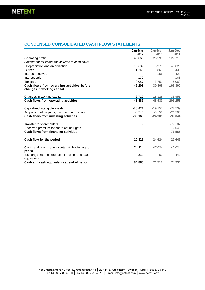### **CONDENSED CONSOLIDATED CASH FLOW STATEMENTS**

|                                                                           | Jan-Mar<br>2012 | Jan-Mar<br>2011 | Jan-Dec<br>2011 |  |
|---------------------------------------------------------------------------|-----------------|-----------------|-----------------|--|
| Operating profit                                                          | 40,066          | 26,290          | 129,713         |  |
| Adjustment for items not included in cash flows:                          |                 |                 |                 |  |
| Depreciation and amortization                                             | 16,639          | 8,975           | 45,823          |  |
| Other                                                                     | $-1,240$        | $-865$          | $-430$          |  |
| Interest received                                                         |                 | 156             | 420             |  |
| Interest paid                                                             | $-170$          |                 | $-166$          |  |
| Tax paid                                                                  | $-9,087$        | $-3,751$        | $-6,060$        |  |
| Cash flows from operating activities before<br>changes in working capital | 46,208          | 30,805          | 169,300         |  |
| Changes in working capital                                                | $-2,722$        | 18,128          | 33,951          |  |
| Cash flows from operating activities                                      | 43,486          | 48,933          | 203,251         |  |
| Capitalized intangible assets                                             | $-26,421$       | $-19,157$       | $-77,539$       |  |
| Acquisition of property, plant, and equipment                             | $-6,744$        | $-5,152$        | $-21,505$       |  |
| Cash flows from investing activities                                      | $-33,165$       | $-24,309$       | $-99,044$       |  |
| Transfer to shareholders                                                  |                 |                 | $-79,107$       |  |
| Received premium for share option rights                                  |                 |                 | 2,542           |  |
| Cash flows from financing activities                                      |                 |                 | $-76.565$       |  |
| Cash flow for the period                                                  | 10,321          | 24,624          | 27,642          |  |
| Cash and cash equivalents at beginning of<br>period                       | 74,234          | 47,034          | 47,034          |  |
| Exchange rate differences in cash and cash<br>equivalents                 | 330             | 59              | $-442$          |  |
| Cash and cash equivalents at end of period                                | 84.885          | 71,717          | 74,234          |  |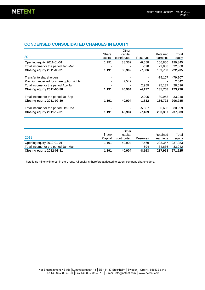### **CONDENSED CONSOLIDATED CHANGES IN EQUITY**

|                                          |         | Other       |          |           |           |
|------------------------------------------|---------|-------------|----------|-----------|-----------|
|                                          | Share   | capital     |          | Retained  | Total     |
| 2011                                     | capital | contributed | Reserves | earnings  | equity    |
| Opening equity 2011-01-01                | 1.191   | 38,362      | $-6,558$ | 166,850   | 199.845   |
| Total income for the period Jan-Mar      |         |             | $-528$   | 22.888    | 22,360    |
| Closing equity 2011-03-31                | 1,191   | 38,362      | $-7,086$ | 189,738   | 222,205   |
| Transfer to shareholders                 |         |             |          | $-79,107$ | $-79,107$ |
| Premium received for share option rights |         | 2,542       |          |           | 2,542     |
| Total income for the period Apr-Jun      |         |             | 2,959    | 25.137    | 28,096    |
| Closing equity 2011-06-30                | 1,191   | 40,904      | $-4,127$ | 135,768   | 173,736   |
| Total income for the period Jul-Sep      |         |             | 2,295    | 30.953    | 33,248    |
| Closing equity 2011-09-30                | 1,191   | 40,904      | $-1,832$ | 166.722   | 206.985   |
| Total income for the period Oct-Dec      |         |             | $-5,637$ | 36.636    | 30,999    |
| Closing equity 2011-12-31                | 1,191   | 40.904      | $-7,469$ | 203,357   | 237,983   |

| 2012                                | Share<br>Capital         | Other<br>capital<br>contributed | Reserves | Retained<br>earnings | Total<br>equity |
|-------------------------------------|--------------------------|---------------------------------|----------|----------------------|-----------------|
| Opening equity 2012-01-01           | 1.191                    | 40.904                          | -7.469   | 203.357              | 237.983         |
| Total income for the period Jan-Mar | $\overline{\phantom{0}}$ | $\blacksquare$                  | -694     | 34.636               | 33.942          |
| Closing equity 2012-03-31           | 1.191                    | 40.904                          | $-8.163$ | 237.993              | 271.925         |

There is no minority interest in the Group. All equity is therefore attributed to parent company shareholders.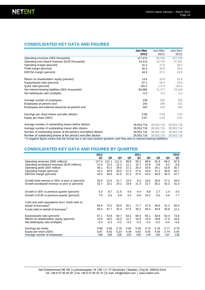### **CONSOLIDATED KEY DATA AND FIGURES**

|                                                                  | Jan-Mar    | Jan-Mar    | Jan-Dec    |
|------------------------------------------------------------------|------------|------------|------------|
|                                                                  | 2012       | 2011       | 2011       |
| Operating revenues (SEK thousands)                               | 127,474    | 95,236     | 427,618    |
| Operating euro based revenues (EUR thousands)                    | 14,313     | 10,718     | 47,281     |
| Operating margin (percent)                                       | 31.4       | 27.6       | 30.3       |
| Profit margin (percent)                                          | 30.3       | 26.8       | 30.2       |
| EBITDA margin (percent)                                          | 44.5       | 37.0       | 41.0       |
| Return on shareholders' equity (percent)                         | 13.6       | 10.8       | 52.8       |
| Equity/assets ratio (percent)                                    | 67.1       | 69.4       | 53.8       |
| Quick ratio (percent)                                            | 155.2      | 177.8      | 126.6      |
| Net interest-bearing liabilities (SEK thousands) <sup>1</sup>    | -84,885    | $-71,717$  | $-74,234$  |
| Net debt/equity ratio (multiple)                                 | $-0.3$     | $-0.3$     | $-0.3$     |
| Average number of employees                                      | 239        | 200        | 220        |
| Employees at period's end                                        | 243        | 206        | 231        |
| Employees and external resources at period's end                 | 352        | 310        | 324        |
| Earnings per share before and after dilution                     | 0.88       | 0.58       | 2.92       |
| Equity per share (SEK)                                           | 6.87       | 5.62       | 6.02       |
| Average number of outstanding shares before dilution             | 39,553,716 | 39,553,716 | 39,553,716 |
| Average number of outstanding shares after dilution              | 39,553,716 | 39,553,716 | 39,553,716 |
| Number of outstanding shares at the period's end before dilution | 39,553,716 | 39,553,716 | 39,553,716 |
| Number of outstanding shares at the period's end after dilution  | 39,553,716 | 39,553,716 | 39,553,716 |

<sup>1</sup> A negative figure means that the Group has a net cash position (positive cash flow and no interest-bearing liabilities)

## **CONSOLIDATED KEY DATA AND FIGURES BY QUARTER**

|                                                   | 2012   |        |        |                | 2011   |        |        |                | 2010   |
|---------------------------------------------------|--------|--------|--------|----------------|--------|--------|--------|----------------|--------|
|                                                   | Q1     | Q4     | Q3     | Q <sub>2</sub> | Q1     | Q4     | Q3     | Q <sub>2</sub> | Q1     |
| Operating revenues (SEK millions)                 | 127.4  | 121.1  | 111.4  | 99.9           | 95.2   | 99.6   | 91.6   | 89.2           | 87.9   |
| Operating eurobased revenues (EUR millions)       | 14.3   | 13.3   | 12.2   | 11.1           | 10.7   | 10.8   | 9.8    | 9.2            | 8.8    |
| Operating profit (SEK million)                    | 40.1   | 42.2   | 34.0   | 27.2           | 26.3   | 33.8   | 34.1   | 32.8           | 35.7   |
| Operating margin (percent)                        | 31.4   | 34.9   | 30.5   | 27.2           | 27.6   | 33.9   | 37.2   | 36.8           | 40.7   |
| EBITDA-margin (percent)                           | 44.5   | 46.9   | 41.6   | 37.2           | 37.0   | 43.2   | 45.9   | 45.3           | 47.7   |
| Growth total revenue in SEK vs prior yr (percent) | 33.9   | 21.6   | 21.7   | 12.0           | 8.3    | 16.6   | 20.8   | 27.2           | 28.0   |
| Growth eurobased revenue vs prior yr (percent)    | 32.7   | 23.1   | 24.1   | 19.9           | 21.3   | 31.7   | 35.1   | 42.3           | 41.0   |
| Growth in SEK vs previous quarter (percent)       | 5.3    | 8.7    | 11.6   | 4.8            | $-4.4$ | 8.8    | 2.7    | 1.4            | 3.0    |
|                                                   |        |        |        |                |        |        |        |                |        |
| Growth in EUR vs previous quarter (percent)       | 7.6    | 9.3    | 9.8    | 3.4            | $-0.8$ | 10.2   | 6.0    | 4.6            | 7.7    |
| Cash and cash equivalents (excl. funds held on    |        |        |        |                |        |        |        |                |        |
| behalf of licensees) <sup>2</sup>                 | 84.9   | 74.2   | 50.0   | 26.1           | 71.7   | 47.0   | 40.8   | 31.2           | 94.9   |
| Funds held on behalf of licensees <sup>2</sup>    | 36.4   | 87.7   | 25.4   | 57.5           | 26.2   | 46.4   | 34.8   | 35.8           | 27.4   |
| Equity/assets ratio (percent)                     | 67.1   | 53.8   | 59.7   | 53.2           | 69.4   | 65.1   | 63.8   | 62.4           | 73.6   |
| Return on shareholders' equity (percent)          | 13.6   | 16.5   | 16.3   | 12.7           | 10.8   | 15.6   | 18.8   | 17.5           | 16.6   |
| Net debt/equity ratio (multiple)                  | $-0.3$ | $-0.3$ | $-0.2$ | $-0.2$         | $-0.3$ | $-0.2$ | $-0.2$ | $-0.5$         | $-0.6$ |
| Earnings per share                                | 0.88   | 0.93   | 0.78   | 0.64           | 0.58   | 0.73   | 0.76   | 0.77           | 0.78   |
| Equity per share (SEK)                            | 6.87   | 6.02   | 5.23   | 4.39           | 5.62   | 5.05   | 4.36   | 3.74           | 5.05   |
| Average number of employees                       | 239    | 229    | 228    | 223            | 200    | 179    | 155    | 137            | 136    |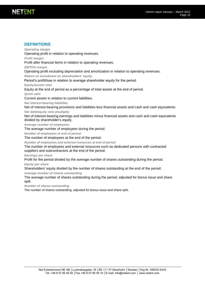### **DEFINITIONS**

*Operating margin*

Operating profit in relation to operating revenues.

*Profit margin*

Profit after financial items in relation to operating revenues.

*EBITDA-margin*

Operating profit excluding depreciation and amortization in relation to operating revenues.

*Return on investment on shareholders' equity* 

Period's profit/loss in relation to average shareholder equity for the period.

*Equity/assets ratio*

Equity at the end of period as a percentage of total assets at the end of period.

*Quick ratio*

Current assets in relation to current liabilities.

*Net interest-bearing liabilities*

Net of interest-bearing provisions and liabilities less financial assets and cash and cash equivalents. *Net debt/equity ratio (multiple)*

Net of interest-bearing earnings and liabilities minus financial assets and cash and cash equivalents divided by shareholder's equity.

*Average number of employees*

The average number of employees during the period.

*Number of employees at end of period*

The number of employees at the end of the period.

*Number of employees and external resources at end of period*

The number of employees and external resources such as dedicated persons with contracted suppliers and subcontractors at the end of the period.

*Earnings per share*

Profit for the period divided by the average number of shares outstanding during the period.

*Equity per share*

Shareholders' equity divided by the number of shares outstanding at the end of the period.

*Average number of shares outstanding*

The average number of shares outstanding during the period, adjusted for bonus issue and share split.

*Number of shares outstanding*

The number of shares outstanding, adjusted for bonus issue and share split.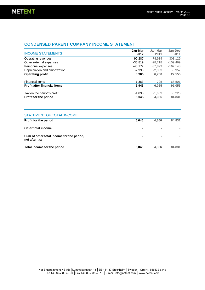### **CONDENSED PARENT COMPANY INCOME STATEMENT**

| <b>INCOME STATEMENTS</b>            | Jan-Mar<br>2012 | Jan-Mar<br>2011 | Jan-Dec<br>2011 |
|-------------------------------------|-----------------|-----------------|-----------------|
| Operating revenues                  | 90.287          | 74.914          | 308,129         |
| Other external expenses             | $-35.819$       | $-28.218$       | $-109.469$      |
| Personnel expenses                  | $-43,172$       | $-37.893$       | $-167,148$      |
| Depreciation and amortization       | $-2,990$        | $-2,053$        | $-8,957$        |
| <b>Operating profit</b>             | 8,306           | 6,750           | 22,555          |
| Financial items                     | $-1.363$        | $-725$          | 68,501          |
| <b>Profit after financial items</b> | 6,943           | 6,025           | 91,056          |
| Tax on the period's profit          | $-1,898$        | $-1.659$        | $-6,225$        |
| <b>Profit for the period</b>        | 5,045           | 4.366           | 84,831          |

| STATEMENT OF TOTAL INCOME                                  |                |                |        |
|------------------------------------------------------------|----------------|----------------|--------|
| Profit for the period                                      | 5,045          | 4.366          | 84,831 |
| Other total income                                         | $\blacksquare$ | $\blacksquare$ |        |
| Sum of other total income for the period,<br>net after tax | ٠              | $\blacksquare$ |        |
| Total income for the period                                | 5,045          | 4.366          | 84.831 |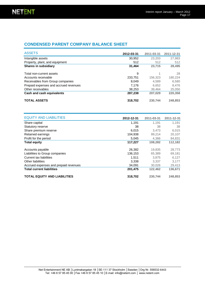### **CONDENSED PARENT COMPANY BALANCE SHEET**

| <b>ASSETS</b>                         | 2012-03-31 | 2011-03-31 | 2011-12-31 |
|---------------------------------------|------------|------------|------------|
| Intangible assets                     | 30,952     | 23,203     | 27,983     |
| Property, plant, and equipment        | 512        | 512        | 512        |
| <b>Shares in subsidiary</b>           | 31,464     | 23.715     | 28,495     |
| Total non-current assets              | 9          | 1          | 28         |
| Accounts receivable                   | 233,751    | 156,323    | 180,224    |
| Receivables from Group companies      | 8.049      | 4.589      | 6,580      |
| Prepaid expenses and accrued revenues | 7.176      | 6.652      | 8.476      |
| Other receivables                     | 38,253     | 39.464     | 25,050     |
| Cash and cash equivalents             | 287,238    | 207.029    | 220,358    |
| <b>TOTAL ASSETS</b>                   | 318,702    | 230.744    | 248,853    |

| <b>EQUITY AND LIABILITIES</b>         | 2012-12-31 | 2011-03-31 | 2011-12-31 |
|---------------------------------------|------------|------------|------------|
| Share capital                         | 1,191      | 1,191      | 1,191      |
| Statutory reserve                     | 38         | 38         | 38         |
| Share premium reserve                 | 6,015      | 3.473      | 6,015      |
| Retained earnings                     | 104,938    | 99.214     | 20,107     |
| Profit for the period                 | 5,045      | 4,366      | 84,831     |
| <b>Total equity</b>                   | 117,227    | 108.282    | 112,182    |
| Accounts payable                      | 26,382     | 19,835     | 28,773     |
| Liabilities to Group companies        | 136,153    | 65,389     | 69,181     |
| Current tax liabilities               | 1,511      | 3,875      | 6,127      |
| <b>Other liabilities</b>              | 3.338      | 3.337      | 3,177      |
| Accrued expenses and prepaid revenues | 34,091     | 30,026     | 29,413     |
| <b>Total current liabilities</b>      | 201,475    | 122,462    | 136,671    |
| <b>TOTAL EQUITY AND LIABILITIES</b>   | 318,702    | 230,744    | 248,853    |